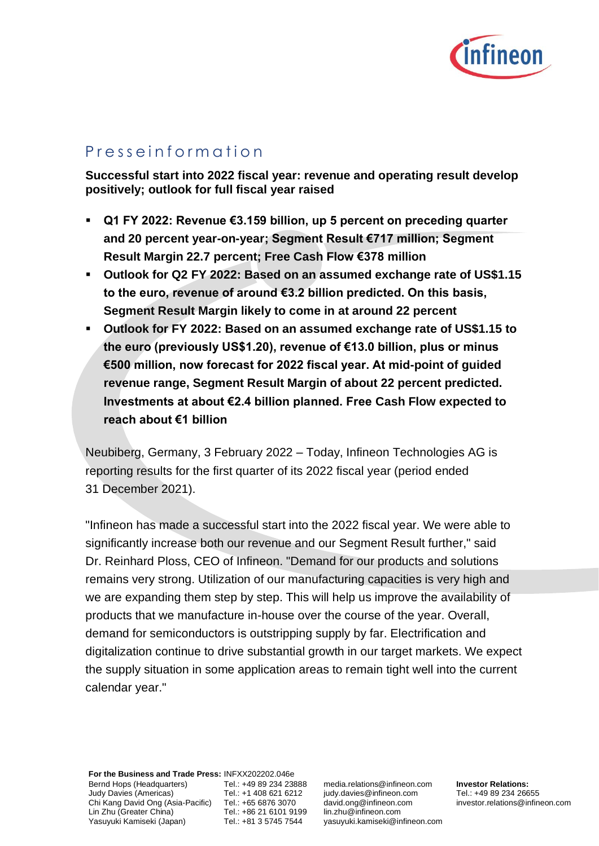

# P r e s s e i n f o r m a t i o n

**Successful start into 2022 fiscal year: revenue and operating result develop positively; outlook for full fiscal year raised**

- Q1 FY 2022: Revenue €3.159 billion, up 5 percent on preceding quarter **and 20 percent year-on-year; Segment Result €717 million; Segment Result Margin 22.7 percent; Free Cash Flow €378 million**
- **Outlook for Q2 FY 2022: Based on an assumed exchange rate of US\$1.15 to the euro, revenue of around €3.2 billion predicted. On this basis, Segment Result Margin likely to come in at around 22 percent**
- **Outlook for FY 2022: Based on an assumed exchange rate of US\$1.15 to the euro (previously US\$1.20), revenue of €13.0 billion, plus or minus €500 million, now forecast for 2022 fiscal year. At mid-point of guided revenue range, Segment Result Margin of about 22 percent predicted. Investments at about €2.4 billion planned. Free Cash Flow expected to reach about €1 billion**

Neubiberg, Germany, 3 February 2022 – Today, Infineon Technologies AG is reporting results for the first quarter of its 2022 fiscal year (period ended 31 December 2021).

"Infineon has made a successful start into the 2022 fiscal year. We were able to significantly increase both our revenue and our Segment Result further," said Dr. Reinhard Ploss, CEO of Infineon. "Demand for our products and solutions remains very strong. Utilization of our manufacturing capacities is very high and we are expanding them step by step. This will help us improve the availability of products that we manufacture in-house over the course of the year. Overall, demand for semiconductors is outstripping supply by far. Electrification and digitalization continue to drive substantial growth in our target markets. We expect the supply situation in some application areas to remain tight well into the current calendar year."

**For the Business and Trade Press:** INFXX202202.046e Bernd Hops (Headquarters) Judy Davies (Americas) Chi Kang David Ong (Asia-Pacific) Tel.: +65 6876 3070 Lin Zhu (Greater China) Yasuyuki Kamiseki (Japan)

Tel.: +49 89 234 23888 Tel.: +1 408 621 6212 Tel.: +86 21 6101 9199 Tel.: +81 3 5745 7544

media.relations@infineon.com judy.davies@infineon.com david.ong@infineon.com lin.zhu@infineon.com yasuyuki.kamiseki@infineon.com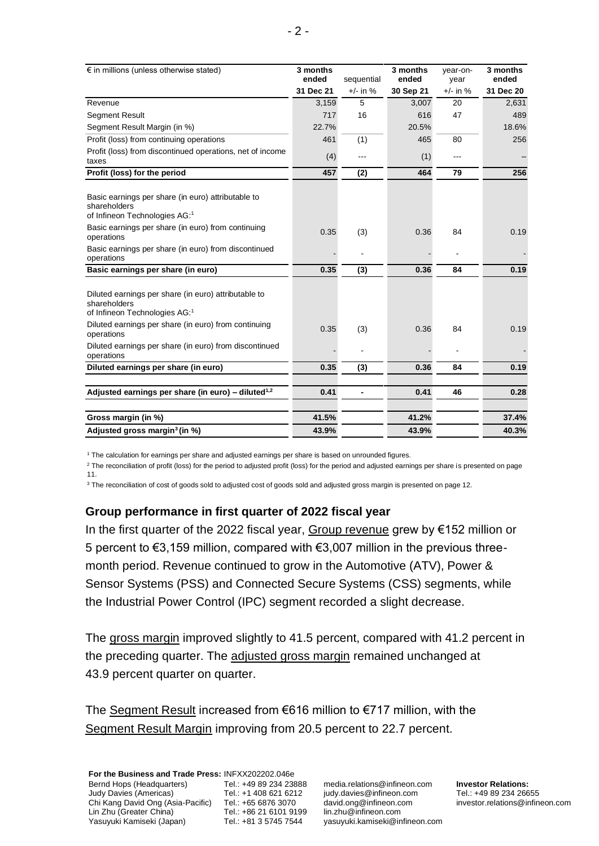| € in millions (unless otherwise stated)                                                                         | 3 months<br>ended | sequential | 3 months<br>ended | year-on-<br>year | 3 months<br>ended |
|-----------------------------------------------------------------------------------------------------------------|-------------------|------------|-------------------|------------------|-------------------|
|                                                                                                                 | 31 Dec 21         | $+/-$ in % | 30 Sep 21         | $+/-$ in %       | 31 Dec 20         |
| Revenue                                                                                                         | 3,159             | 5          | 3,007             | 20               | 2,631             |
| Segment Result                                                                                                  | 717               | 16         | 616               | 47               | 489               |
| Segment Result Margin (in %)                                                                                    | 22.7%             |            | 20.5%             |                  | 18.6%             |
| Profit (loss) from continuing operations                                                                        | 461               | (1)        | 465               | 80               | 256               |
| Profit (loss) from discontinued operations, net of income<br>taxes                                              | (4)               | ---        | (1)               | $---$            |                   |
| Profit (loss) for the period                                                                                    | 457               | (2)        | 464               | 79               | 256               |
| Basic earnings per share (in euro) attributable to<br>shareholders<br>of Infineon Technologies AG: <sup>1</sup> |                   |            |                   |                  |                   |
| Basic earnings per share (in euro) from continuing<br>operations                                                | 0.35              | (3)        | 0.36              | 84               | 0.19              |
| Basic earnings per share (in euro) from discontinued<br>operations                                              |                   |            |                   |                  |                   |
| Basic earnings per share (in euro)                                                                              | 0.35              | (3)        | 0.36              | 84               | 0.19              |
| Diluted earnings per share (in euro) attributable to<br>shareholders<br>of Infineon Technologies AG:1           |                   |            |                   |                  |                   |
| Diluted earnings per share (in euro) from continuing<br>operations                                              | 0.35              | (3)        | 0.36              | 84               | 0.19              |
| Diluted earnings per share (in euro) from discontinued<br>operations                                            |                   |            |                   |                  |                   |
| Diluted earnings per share (in euro)                                                                            | 0.35              | (3)        | 0.36              | 84               | 0.19              |
| Adjusted earnings per share (in euro) - diluted <sup>1,2</sup>                                                  | 0.41              |            | 0.41              | 46               | 0.28              |
| Gross margin (in %)                                                                                             | 41.5%             |            | 41.2%             |                  | 37.4%             |
| Adjusted gross margin <sup>3</sup> (in %)                                                                       | 43.9%             |            | 43.9%             |                  | 40.3%             |

<sup>1</sup> The calculation for earnings per share and adjusted earnings per share is based on unrounded figures.

<sup>2</sup> The reconciliation of profit (loss) for the period to adjusted profit (loss) for the period and adjusted earnings per share is presented on page 11.

<sup>3</sup> The reconciliation of cost of goods sold to adjusted cost of goods sold and adjusted gross margin is presented on page 12.

### **Group performance in first quarter of 2022 fiscal year**

In the first quarter of the 2022 fiscal year, Group revenue grew by €152 million or 5 percent to €3,159 million, compared with €3,007 million in the previous threemonth period. Revenue continued to grow in the Automotive (ATV), Power & Sensor Systems (PSS) and Connected Secure Systems (CSS) segments, while the Industrial Power Control (IPC) segment recorded a slight decrease.

The gross margin improved slightly to 41.5 percent, compared with 41.2 percent in the preceding quarter. The adjusted gross margin remained unchanged at 43.9 percent quarter on quarter.

The Segment Result increased from €616 million to €717 million, with the Segment Result Margin improving from 20.5 percent to 22.7 percent.

media.relations@infineon.com judy.davies@infineon.com david.ong@infineon.com lin.zhu@infineon.com yasuyuki.kamiseki@infineon.com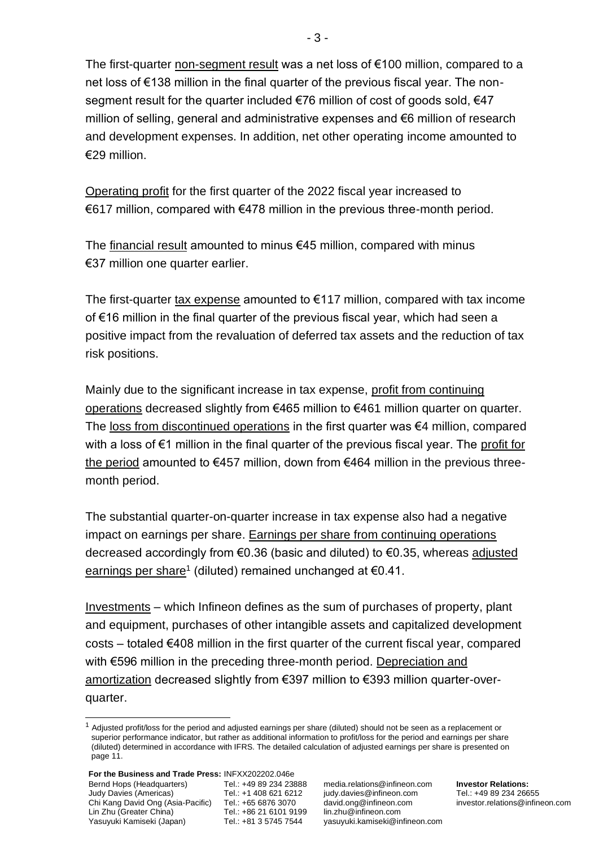The first-quarter non-segment result was a net loss of €100 million, compared to a net loss of €138 million in the final quarter of the previous fiscal year. The nonsegment result for the quarter included €76 million of cost of goods sold, €47 million of selling, general and administrative expenses and €6 million of research and development expenses. In addition, net other operating income amounted to €29 million.

Operating profit for the first quarter of the 2022 fiscal year increased to €617 million, compared with €478 million in the previous three-month period.

The financial result amounted to minus  $€45$  million, compared with minus €37 million one quarter earlier.

The first-quarter tax expense amounted to  $E$ 117 million, compared with tax income of €16 million in the final quarter of the previous fiscal year, which had seen a positive impact from the revaluation of deferred tax assets and the reduction of tax risk positions.

Mainly due to the significant increase in tax expense, profit from continuing operations decreased slightly from €465 million to €461 million quarter on quarter. The loss from discontinued operations in the first quarter was €4 million, compared with a loss of €1 million in the final quarter of the previous fiscal year. The profit for the period amounted to €457 million, down from €464 million in the previous threemonth period.

The substantial quarter-on-quarter increase in tax expense also had a negative impact on earnings per share. Earnings per share from continuing operations decreased accordingly from €0.36 (basic and diluted) to €0.35, whereas adjusted <u>earnings per share</u><sup>1</sup> (diluted) remained unchanged at €0.41.

Investments – which Infineon defines as the sum of purchases of property, plant and equipment, purchases of other intangible assets and capitalized development costs – totaled €408 million in the first quarter of the current fiscal year, compared with €596 million in the preceding three-month period. Depreciation and amortization decreased slightly from €397 million to €393 million quarter-overquarter.

 $1$  Adjusted profit/loss for the period and adjusted earnings per share (diluted) should not be seen as a replacement or superior performance indicator, but rather as additional information to profit/loss for the period and earnings per share (diluted) determined in accordance with IFRS. The detailed calculation of adjusted earnings per share is presented on page 11.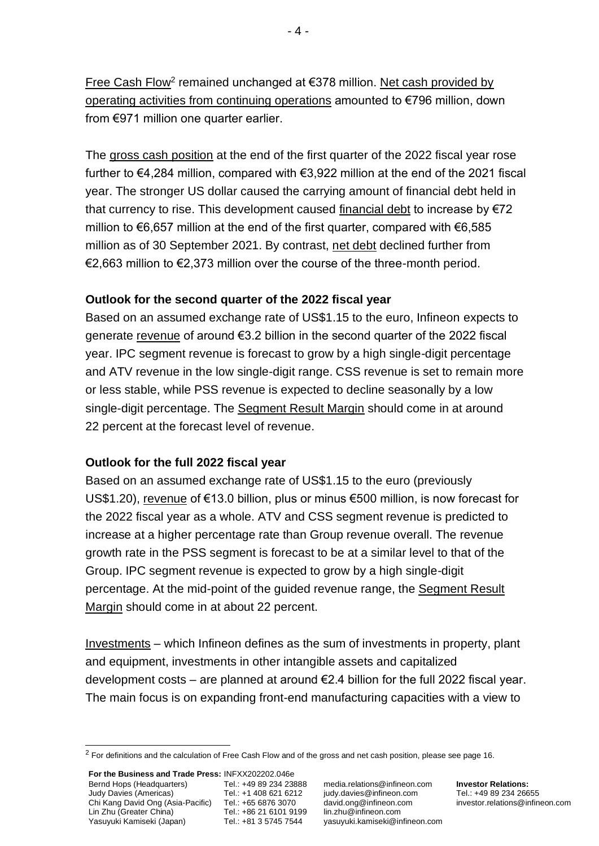Free Cash Flow<sup>2</sup> remained unchanged at €378 million. Net cash provided by operating activities from continuing operations amounted to €796 million, down from €971 million one quarter earlier.

The gross cash position at the end of the first quarter of the 2022 fiscal year rose further to €4,284 million, compared with €3,922 million at the end of the 2021 fiscal year. The stronger US dollar caused the carrying amount of financial debt held in that currency to rise. This development caused financial debt to increase by  $\epsilon$ 72 million to €6,657 million at the end of the first quarter, compared with €6,585 million as of 30 September 2021. By contrast, net debt declined further from €2,663 million to €2,373 million over the course of the three-month period.

# **Outlook for the second quarter of the 2022 fiscal year**

Based on an assumed exchange rate of US\$1.15 to the euro, Infineon expects to generate revenue of around €3.2 billion in the second quarter of the 2022 fiscal year. IPC segment revenue is forecast to grow by a high single-digit percentage and ATV revenue in the low single-digit range. CSS revenue is set to remain more or less stable, while PSS revenue is expected to decline seasonally by a low single-digit percentage. The Segment Result Margin should come in at around 22 percent at the forecast level of revenue.

# **Outlook for the full 2022 fiscal year**

Based on an assumed exchange rate of US\$1.15 to the euro (previously US\$1.20), revenue of €13.0 billion, plus or minus €500 million, is now forecast for the 2022 fiscal year as a whole. ATV and CSS segment revenue is predicted to increase at a higher percentage rate than Group revenue overall. The revenue growth rate in the PSS segment is forecast to be at a similar level to that of the Group. IPC segment revenue is expected to grow by a high single-digit percentage. At the mid-point of the guided revenue range, the Segment Result Margin should come in at about 22 percent.

Investments – which Infineon defines as the sum of investments in property, plant and equipment, investments in other intangible assets and capitalized development costs – are planned at around  $\epsilon$ 2.4 billion for the full 2022 fiscal year. The main focus is on expanding front-end manufacturing capacities with a view to

 $2$  For definitions and the calculation of Free Cash Flow and of the gross and net cash position, please see page 16.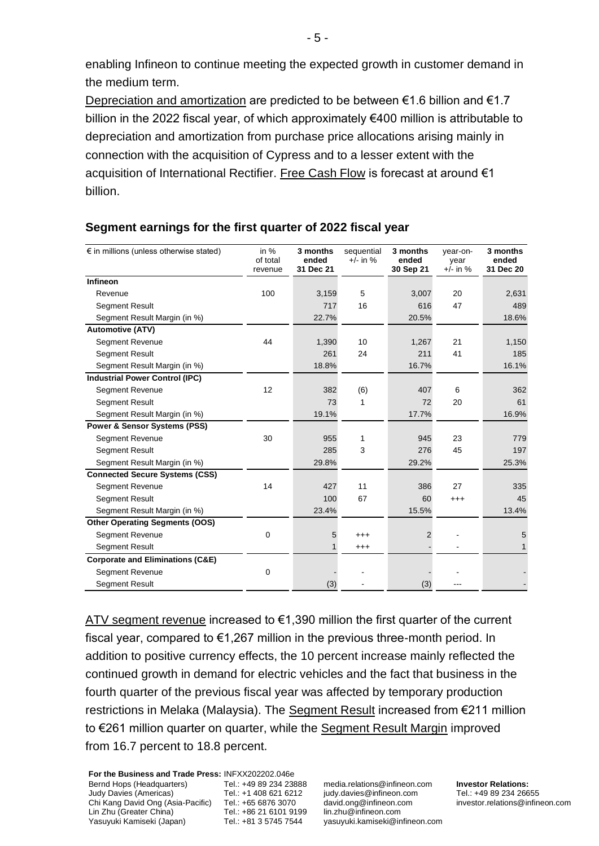enabling Infineon to continue meeting the expected growth in customer demand in the medium term.

Depreciation and amortization are predicted to be between €1.6 billion and €1.7 billion in the 2022 fiscal year, of which approximately €400 million is attributable to depreciation and amortization from purchase price allocations arising mainly in connection with the acquisition of Cypress and to a lesser extent with the acquisition of International Rectifier. Free Cash Flow is forecast at around €1 billion.

| $\epsilon$ in millions (unless otherwise stated) | in $%$<br>of total<br>revenue | 3 months<br>ended<br>31 Dec 21 | sequential<br>$+/-$ in % | 3 months<br>ended<br>30 Sep 21 | year-on-<br>year<br>$+/-$ in % | 3 months<br>ended<br>31 Dec 20 |
|--------------------------------------------------|-------------------------------|--------------------------------|--------------------------|--------------------------------|--------------------------------|--------------------------------|
| Infineon                                         |                               |                                |                          |                                |                                |                                |
| Revenue                                          | 100                           | 3,159                          | 5                        | 3,007                          | 20                             | 2,631                          |
| <b>Segment Result</b>                            |                               | 717                            | 16                       | 616                            | 47                             | 489                            |
| Segment Result Margin (in %)                     |                               | 22.7%                          |                          | 20.5%                          |                                | 18.6%                          |
| <b>Automotive (ATV)</b>                          |                               |                                |                          |                                |                                |                                |
| <b>Segment Revenue</b>                           | 44                            | 1,390                          | 10                       | 1,267                          | 21                             | 1,150                          |
| Segment Result                                   |                               | 261                            | 24                       | 211                            | 41                             | 185                            |
| Segment Result Margin (in %)                     |                               | 18.8%                          |                          | 16.7%                          |                                | 16.1%                          |
| <b>Industrial Power Control (IPC)</b>            |                               |                                |                          |                                |                                |                                |
| <b>Segment Revenue</b>                           | 12                            | 382                            | (6)                      | 407                            | 6                              | 362                            |
| <b>Segment Result</b>                            |                               | 73                             | 1                        | 72                             | 20                             | 61                             |
| Segment Result Margin (in %)                     |                               | 19.1%                          |                          | 17.7%                          |                                | 16.9%                          |
| <b>Power &amp; Sensor Systems (PSS)</b>          |                               |                                |                          |                                |                                |                                |
| <b>Segment Revenue</b>                           | 30                            | 955                            | 1                        | 945                            | 23                             | 779                            |
| <b>Segment Result</b>                            |                               | 285                            | 3                        | 276                            | 45                             | 197                            |
| Segment Result Margin (in %)                     |                               | 29.8%                          |                          | 29.2%                          |                                | 25.3%                          |
| <b>Connected Secure Systems (CSS)</b>            |                               |                                |                          |                                |                                |                                |
| Segment Revenue                                  | 14                            | 427                            | 11                       | 386                            | 27                             | 335                            |
| Segment Result                                   |                               | 100                            | 67                       | 60                             | $^{+++}$                       | 45                             |
| Segment Result Margin (in %)                     |                               | 23.4%                          |                          | 15.5%                          |                                | 13.4%                          |
| <b>Other Operating Segments (OOS)</b>            |                               |                                |                          |                                |                                |                                |
| <b>Segment Revenue</b>                           | 0                             | 5                              | $^{+++}$                 | 2                              |                                | 5                              |
| <b>Segment Result</b>                            |                               |                                | $^{+++}$                 |                                |                                |                                |
| <b>Corporate and Eliminations (C&amp;E)</b>      |                               |                                |                          |                                |                                |                                |
| <b>Segment Revenue</b>                           | $\Omega$                      |                                |                          |                                |                                |                                |
| Segment Result                                   |                               | (3)                            |                          | (3)                            |                                |                                |

# **Segment earnings for the first quarter of 2022 fiscal year**

ATV segment revenue increased to  $\epsilon$ 1,390 million the first quarter of the current fiscal year, compared to €1,267 million in the previous three-month period. In addition to positive currency effects, the 10 percent increase mainly reflected the continued growth in demand for electric vehicles and the fact that business in the fourth quarter of the previous fiscal year was affected by temporary production restrictions in Melaka (Malaysia). The Segment Result increased from €211 million to €261 million quarter on quarter, while the Segment Result Margin improved from 16.7 percent to 18.8 percent.

**For the Business and Trade Press:** INFXX202202.046e Bernd Hops (Headquarters) Judy Davies (Americas) Chi Kang David Ong (Asia-Pacific) Tel.: +65 6876 3070 Lin Zhu (Greater China) Yasuyuki Kamiseki (Japan) Tel.: +49 89 234 23888 Tel.: +1 408 621 6212 Tel.: +86 21 6101 9199 Tel.: +81 3 5745 7544

media.relations@infineon.com judy.davies@infineon.com david.ong@infineon.com lin.zhu@infineon.com yasuyuki.kamiseki@infineon.com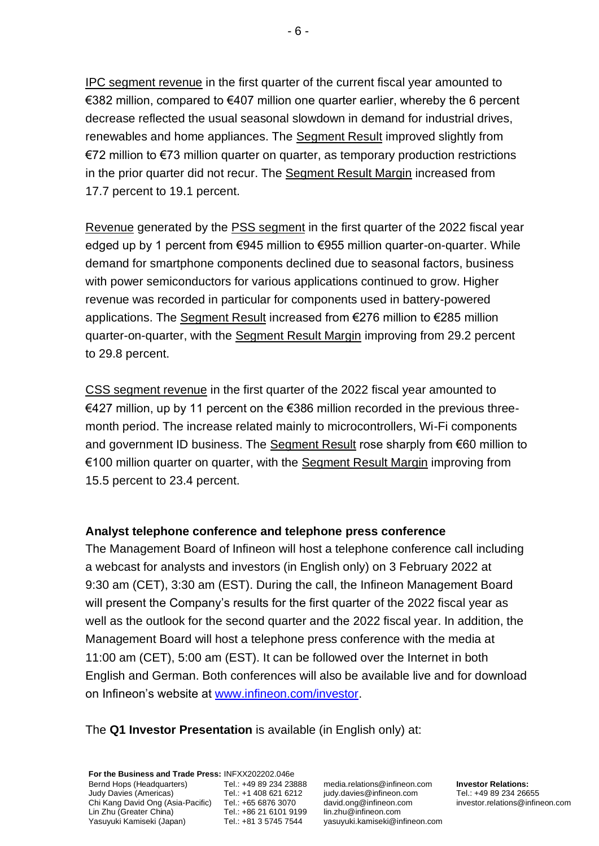IPC segment revenue in the first quarter of the current fiscal year amounted to €382 million, compared to €407 million one quarter earlier, whereby the 6 percent decrease reflected the usual seasonal slowdown in demand for industrial drives, renewables and home appliances. The Segment Result improved slightly from €72 million to €73 million quarter on quarter, as temporary production restrictions in the prior quarter did not recur. The Segment Result Margin increased from 17.7 percent to 19.1 percent.

Revenue generated by the PSS segment in the first quarter of the 2022 fiscal year edged up by 1 percent from €945 million to €955 million quarter-on-quarter. While demand for smartphone components declined due to seasonal factors, business with power semiconductors for various applications continued to grow. Higher revenue was recorded in particular for components used in battery-powered applications. The Segment Result increased from €276 million to €285 million quarter-on-quarter, with the Segment Result Margin improving from 29.2 percent to 29.8 percent.

CSS segment revenue in the first quarter of the 2022 fiscal year amounted to €427 million, up by 11 percent on the €386 million recorded in the previous threemonth period. The increase related mainly to microcontrollers, Wi-Fi components and government ID business. The Segment Result rose sharply from €60 million to €100 million quarter on quarter, with the Segment Result Margin improving from 15.5 percent to 23.4 percent.

### **Analyst telephone conference and telephone press conference**

The Management Board of Infineon will host a telephone conference call including a webcast for analysts and investors (in English only) on 3 February 2022 at 9:30 am (CET), 3:30 am (EST). During the call, the Infineon Management Board will present the Company's results for the first quarter of the 2022 fiscal year as well as the outlook for the second quarter and the 2022 fiscal year. In addition, the Management Board will host a telephone press conference with the media at 11:00 am (CET), 5:00 am (EST). It can be followed over the Internet in both English and German. Both conferences will also be available live and for download on Infineon's website at [www.infineon.com/investor.](http://www.infineon.com/investor)

The **Q1 Investor Presentation** is available (in English only) at:

**For the Business and Trade Press:** INFXX202202.046e Bernd Hops (Headquarters) Judy Davies (Americas) Chi Kang David Ong (Asia-Pacific) Tel.: +65 6876 3070 Lin Zhu (Greater China) Yasuyuki Kamiseki (Japan) Tel.: +49 89 234 23888 Tel.: +1 408 621 6212 Tel.: +86 21 6101 9199 Tel.: +81 3 5745 7544

media.relations@infineon.com judy.davies@infineon.com david.ong@infineon.com lin.zhu@infineon.com yasuyuki.kamiseki@infineon.com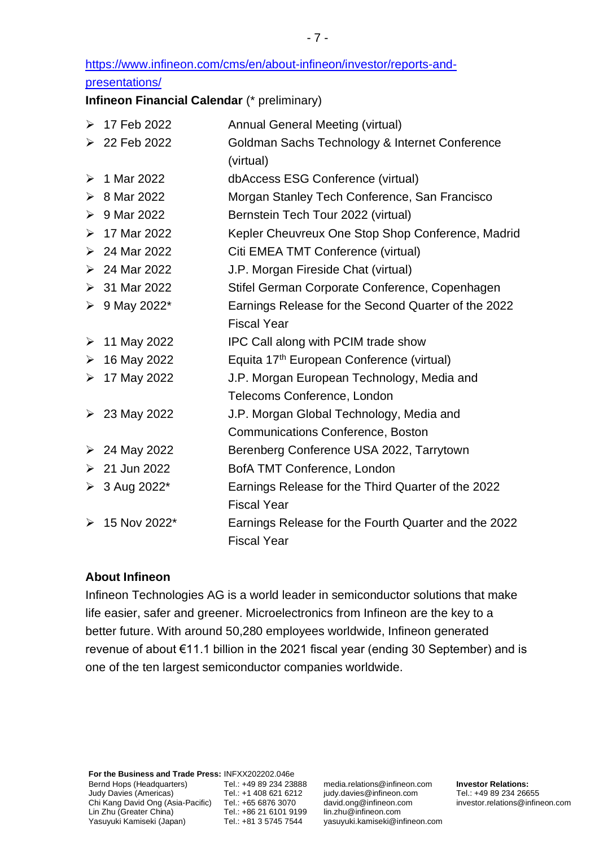[https://www.infineon.com/cms/en/about-infineon/investor/reports-and-](https://www.infineon.com/cms/en/about-infineon/investor/reports-and-presentations/)

# [presentations/](https://www.infineon.com/cms/en/about-infineon/investor/reports-and-presentations/)

**Infineon Financial Calendar** (\* preliminary)

|   | $\triangleright$ 17 Feb 2022 | Annual General Meeting (virtual)                      |
|---|------------------------------|-------------------------------------------------------|
|   | $\geq 22$ Feb 2022           | Goldman Sachs Technology & Internet Conference        |
|   |                              | (virtual)                                             |
| ➤ | 1 Mar 2022                   | dbAccess ESG Conference (virtual)                     |
| ➤ | 8 Mar 2022                   | Morgan Stanley Tech Conference, San Francisco         |
| ≻ | 9 Mar 2022                   | Bernstein Tech Tour 2022 (virtual)                    |
|   | $>17$ Mar 2022               | Kepler Cheuvreux One Stop Shop Conference, Madrid     |
|   | $\geq 24$ Mar 2022           | Citi EMEA TMT Conference (virtual)                    |
|   | $\geq 24$ Mar 2022           | J.P. Morgan Fireside Chat (virtual)                   |
|   | $> 31$ Mar 2022              | Stifel German Corporate Conference, Copenhagen        |
|   | ▶ 9 May 2022*                | Earnings Release for the Second Quarter of the 2022   |
|   |                              | <b>Fiscal Year</b>                                    |
|   | $\triangleright$ 11 May 2022 | IPC Call along with PCIM trade show                   |
|   | $\geq 16$ May 2022           | Equita 17 <sup>th</sup> European Conference (virtual) |
|   | $\triangleright$ 17 May 2022 | J.P. Morgan European Technology, Media and            |
|   |                              | Telecoms Conference, London                           |
|   | ▶ 23 May 2022                | J.P. Morgan Global Technology, Media and              |
|   |                              | <b>Communications Conference, Boston</b>              |
|   | $\geq 24$ May 2022           | Berenberg Conference USA 2022, Tarrytown              |
|   | $\geq 21$ Jun 2022           | BofA TMT Conference, London                           |
|   | $> 3$ Aug 2022*              | Earnings Release for the Third Quarter of the 2022    |
|   |                              | <b>Fiscal Year</b>                                    |
| ➤ | 15 Nov 2022*                 | Earnings Release for the Fourth Quarter and the 2022  |
|   |                              | <b>Fiscal Year</b>                                    |

# **About Infineon**

Infineon Technologies AG is a world leader in semiconductor solutions that make life easier, safer and greener. Microelectronics from Infineon are the key to a better future. With around 50,280 employees worldwide, Infineon generated revenue of about €11.1 billion in the 2021 fiscal year (ending 30 September) and is one of the ten largest semiconductor companies worldwide.

media.relations@infineon.com judy.davies@infineon.com david.ong@infineon.com lin.zhu@infineon.com yasuyuki.kamiseki@infineon.com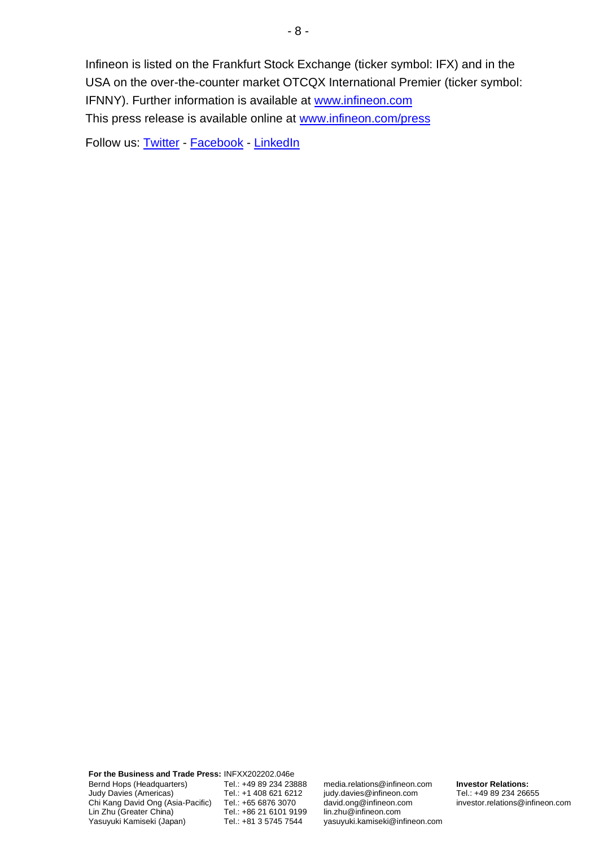Infineon is listed on the Frankfurt Stock Exchange (ticker symbol: IFX) and in the USA on the over-the-counter market OTCQX International Premier (ticker symbol: IFNNY). Further information is available at [www.infineon.com](http://www.infineon.com/) This press release is available online at [www.infineon.com/press](http://www.infineon.com/press)

Follow us: [Twitter](https://twitter.com/Infineon) - [Facebook](https://www.facebook.com/Infineon) - [LinkedIn](https://www.linkedin.com/company/infineon-technologies)

**For the Business and Trade Press:** INFXX202202.046e Bernd Hops (Headquarters) Judy Davies (Americas) Chi Kang David Ong (Asia-Pacific) Lin Zhu (Greater China) Yasuyuki Kamiseki (Japan)

Tel.: +49 89 234 23888 Tel.: +1 408 621 6212 Tel.: +65 6876 3070 Tel.: +86 21 6101 9199 Tel.: +81 3 5745 7544

media.relations@infineon.com judy.davies@infineon.com david.ong@infineon.com lin.zhu@infineon.com yasuyuki.kamiseki@infineon.com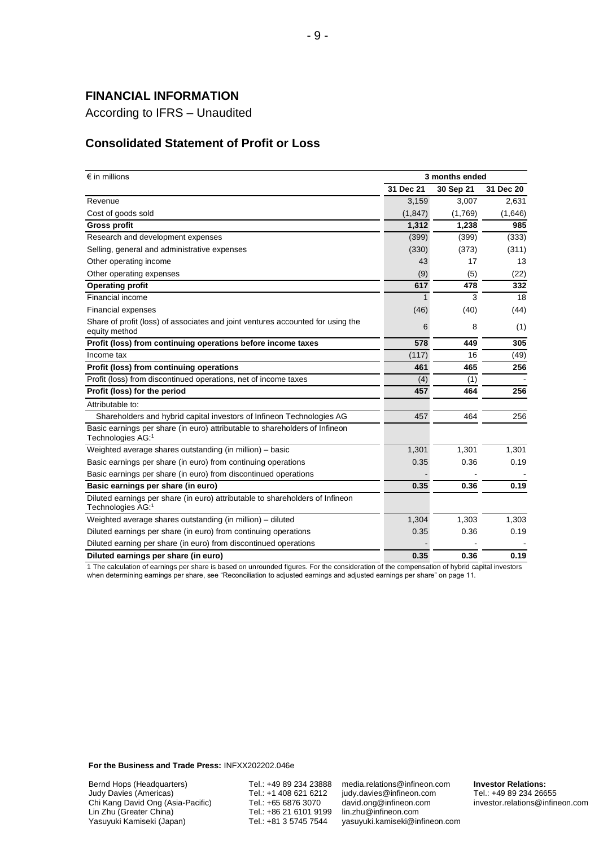# **FINANCIAL INFORMATION**

According to IFRS – Unaudited

### **Consolidated Statement of Profit or Loss**

| $\epsilon$ in millions                                                                             |           | 3 months ended |           |
|----------------------------------------------------------------------------------------------------|-----------|----------------|-----------|
|                                                                                                    | 31 Dec 21 | 30 Sep 21      | 31 Dec 20 |
| Revenue                                                                                            | 3,159     | 3,007          | 2,631     |
| Cost of goods sold                                                                                 | (1, 847)  | (1,769)        | (1,646)   |
| <b>Gross profit</b>                                                                                | 1,312     | 1,238          | 985       |
| Research and development expenses                                                                  | (399)     | (399)          | (333)     |
| Selling, general and administrative expenses                                                       | (330)     | (373)          | (311)     |
| Other operating income                                                                             | 43        | 17             | 13        |
| Other operating expenses                                                                           | (9)       | (5)            | (22)      |
| <b>Operating profit</b>                                                                            | 617       | 478            | 332       |
| Financial income                                                                                   | 1         | 3              | 18        |
| <b>Financial expenses</b>                                                                          | (46)      | (40)           | (44)      |
| Share of profit (loss) of associates and joint ventures accounted for using the<br>equity method   | 6         | 8              | (1)       |
| Profit (loss) from continuing operations before income taxes                                       | 578       | 449            | 305       |
| Income tax                                                                                         | (117)     | 16             | (49)      |
| Profit (loss) from continuing operations                                                           | 461       | 465            | 256       |
| Profit (loss) from discontinued operations, net of income taxes                                    | (4)       | (1)            |           |
| Profit (loss) for the period                                                                       | 457       | 464            | 256       |
| Attributable to:                                                                                   |           |                |           |
| Shareholders and hybrid capital investors of Infineon Technologies AG                              | 457       | 464            | 256       |
| Basic earnings per share (in euro) attributable to shareholders of Infineon<br>Technologies AG:1   |           |                |           |
| Weighted average shares outstanding (in million) – basic                                           | 1,301     | 1,301          | 1,301     |
| Basic earnings per share (in euro) from continuing operations                                      | 0.35      | 0.36           | 0.19      |
| Basic earnings per share (in euro) from discontinued operations                                    |           |                |           |
| Basic earnings per share (in euro)                                                                 | 0.35      | 0.36           | 0.19      |
| Diluted earnings per share (in euro) attributable to shareholders of Infineon<br>Technologies AG:1 |           |                |           |
| Weighted average shares outstanding (in million) - diluted                                         | 1,304     | 1,303          | 1,303     |
| Diluted earnings per share (in euro) from continuing operations                                    | 0.35      | 0.36           | 0.19      |
| Diluted earning per share (in euro) from discontinued operations                                   |           |                |           |
| Diluted earnings per share (in euro)                                                               | 0.35      | 0.36           | 0.19      |

1 The calculation of earnings per share is based on unrounded figures. For the consideration of the compensation of hybrid capital investors when determining earnings per share, see "Reconciliation to adjusted earnings and adjusted earnings per share" on page 11.

**For the Business and Trade Press:** INFXX202202.046e

Bernd Hops (Headquarters) Judy Davies (Americas) Chi Kang David Ong (Asia-Pacific) Lin Zhu (Greater China) Yasuyuki Kamiseki (Japan)

Tel.: +49 89 234 23888 Tel.: +1 408 621 6212 Tel.: +65 6876 3070 Tel.: +86 21 6101 9199 Tel.: +81 3 5745 7544

media.relations@infineon.com judy.davies@infineon.com david.ong@infineon.com lin.zhu@infineon.com yasuyuki.kamiseki@infineon.com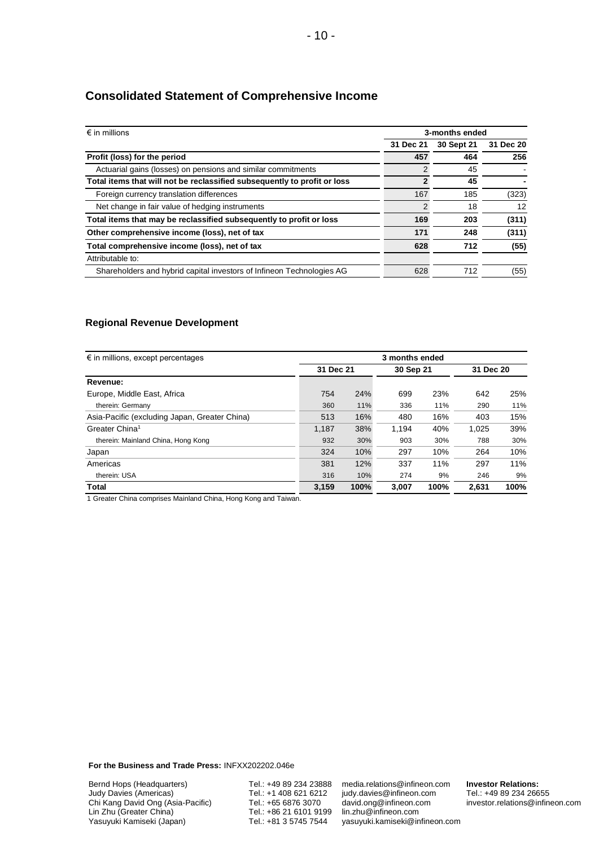| $\epsilon$ in millions                                                   |               | 3-months ended |           |
|--------------------------------------------------------------------------|---------------|----------------|-----------|
|                                                                          | 31 Dec 21     | 30 Sept 21     | 31 Dec 20 |
| Profit (loss) for the period                                             | 457           | 464            | 256       |
| Actuarial gains (losses) on pensions and similar commitments             | $\mathcal{P}$ | 45             |           |
| Total items that will not be reclassified subsequently to profit or loss |               | 45             |           |
| Foreign currency translation differences                                 | 167           | 185            | (323)     |
| Net change in fair value of hedging instruments                          | 2             | 18             | 12        |
| Total items that may be reclassified subsequently to profit or loss      | 169           | 203            | (311)     |
| Other comprehensive income (loss), net of tax                            | 171           | 248            | (311)     |
| Total comprehensive income (loss), net of tax                            | 628           | 712            | (55)      |
| Attributable to:                                                         |               |                |           |
| Shareholders and hybrid capital investors of Infineon Technologies AG    | 628           | 712            | (55)      |

# **Consolidated Statement of Comprehensive Income**

#### **Regional Revenue Development**

| $\epsilon$ in millions, except percentages    |           |      |           |      |           |      |
|-----------------------------------------------|-----------|------|-----------|------|-----------|------|
|                                               | 31 Dec 21 |      | 30 Sep 21 |      | 31 Dec 20 |      |
| Revenue:                                      |           |      |           |      |           |      |
| Europe, Middle East, Africa                   | 754       | 24%  | 699       | 23%  | 642       | 25%  |
| therein: Germany                              | 360       | 11%  | 336       | 11%  | 290       | 11%  |
| Asia-Pacific (excluding Japan, Greater China) | 513       | 16%  | 480       | 16%  | 403       | 15%  |
| Greater China <sup>1</sup>                    | 1.187     | 38%  | 1.194     | 40%  | 1.025     | 39%  |
| therein: Mainland China, Hong Kong            | 932       | 30%  | 903       | 30%  | 788       | 30%  |
| Japan                                         | 324       | 10%  | 297       | 10%  | 264       | 10%  |
| Americas                                      | 381       | 12%  | 337       | 11%  | 297       | 11%  |
| therein: USA                                  | 316       | 10%  | 274       | 9%   | 246       | 9%   |
| Total                                         | 3,159     | 100% | 3.007     | 100% | 2,631     | 100% |

1 Greater China comprises Mainland China, Hong Kong and Taiwan.

**For the Business and Trade Press:** INFXX202202.046e

Bernd Hops (Headquarters) Judy Davies (Americas) Chi Kang David Ong (Asia-Pacific) Lin Zhu (Greater China) Yasuyuki Kamiseki (Japan)

Tel.: +49 89 234 23888 Tel.: +1 408 621 6212 Tel.: +65 6876 3070 Tel.: +86 21 6101 9199 Tel.: +81 3 5745 7544

media.relations@infineon.com judy.davies@infineon.com david.ong@infineon.com lin.zhu@infineon.com yasuyuki.kamiseki@infineon.com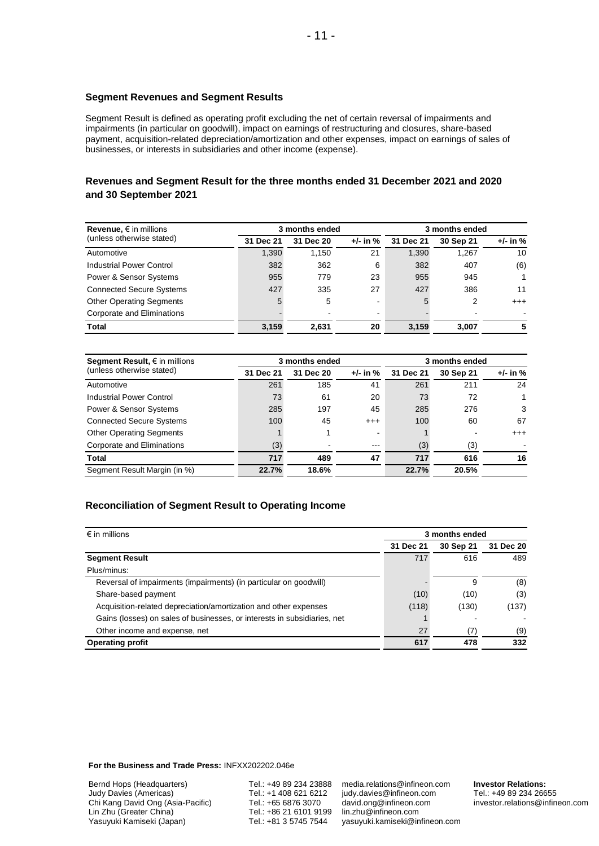#### **Segment Revenues and Segment Results**

Segment Result is defined as operating profit excluding the net of certain reversal of impairments and impairments (in particular on goodwill), impact on earnings of restructuring and closures, share-based payment, acquisition-related depreciation/amortization and other expenses, impact on earnings of sales of businesses, or interests in subsidiaries and other income (expense).

### **Revenues and Segment Result for the three months ended 31 December 2021 and 2020 and 30 September 2021**

| Revenue, $\epsilon$ in millions |           | 3 months ended |                |           | 3 months ended |              |  |
|---------------------------------|-----------|----------------|----------------|-----------|----------------|--------------|--|
| (unless otherwise stated)       | 31 Dec 21 | 31 Dec 20      | $+/-$ in $%$   | 31 Dec 21 | 30 Sep 21      | $+/-$ in $%$ |  |
| Automotive                      | 1.390     | 1,150          | 21             | 1,390     | 1,267          | 10           |  |
| <b>Industrial Power Control</b> | 382       | 362            | 6              | 382       | 407            | (6)          |  |
| Power & Sensor Systems          | 955       | 779            | 23             | 955       | 945            |              |  |
| <b>Connected Secure Systems</b> | 427       | 335            | 27             | 427       | 386            | 11           |  |
| <b>Other Operating Segments</b> | 5         | 5              | $\blacksquare$ | 5         | 2              | $^{+++}$     |  |
| Corporate and Eliminations      |           |                | -              |           |                |              |  |
| <b>Total</b>                    | 3.159     | 2.631          | 20             | 3.159     | 3.007          | 5            |  |

| Segment Result, $\epsilon$ in millions |           | 3 months ended |                |           | 3 months ended |              |
|----------------------------------------|-----------|----------------|----------------|-----------|----------------|--------------|
| (unless otherwise stated)              | 31 Dec 21 | 31 Dec 20      | $+/-$ in $%$   | 31 Dec 21 | 30 Sep 21      | $+/-$ in $%$ |
| Automotive                             | 261       | 185            | 41             | 261       | 211            | 24           |
| Industrial Power Control               | 73        | 61             | 20             | 73        | 72             |              |
| <b>Power &amp; Sensor Systems</b>      | 285       | 197            | 45             | 285       | 276            | 3            |
| <b>Connected Secure Systems</b>        | 100       | 45             | $^{++}$        | 100       | 60             | 67           |
| <b>Other Operating Segments</b>        |           |                | $\blacksquare$ |           |                | $^{+++}$     |
| Corporate and Eliminations             | (3)       |                | ---            | (3)       | (3)            |              |
| Total                                  | 717       | 489            | 47             | 717       | 616            | 16           |
| Segment Result Margin (in %)           | 22.7%     | 18.6%          |                | 22.7%     | 20.5%          |              |

#### **Reconciliation of Segment Result to Operating Income**

| $\epsilon$ in millions                                                   |           | 3 months ended |           |  |  |  |
|--------------------------------------------------------------------------|-----------|----------------|-----------|--|--|--|
|                                                                          | 31 Dec 21 | 30 Sep 21      | 31 Dec 20 |  |  |  |
| <b>Segment Result</b>                                                    | 717       | 616            | 489       |  |  |  |
| Plus/minus:                                                              |           |                |           |  |  |  |
| Reversal of impairments (impairments) (in particular on goodwill)        |           | 9              | (8)       |  |  |  |
| Share-based payment                                                      | (10)      | (10)           | (3)       |  |  |  |
| Acquisition-related depreciation/amortization and other expenses         | (118)     | (130)          | (137)     |  |  |  |
| Gains (losses) on sales of businesses, or interests in subsidiaries, net |           |                |           |  |  |  |
| Other income and expense, net                                            | 27        | (7)            | (9)       |  |  |  |
| <b>Operating profit</b>                                                  | 617       | 478            | 332       |  |  |  |

**For the Business and Trade Press:** INFXX202202.046e

Bernd Hops (Headquarters) Judy Davies (Americas) Chi Kang David Ong (Asia-Pacific) Lin Zhu (Greater China) Yasuyuki Kamiseki (Japan)

Tel.: +49 89 234 23888 Tel.: +1 408 621 6212 Tel.: +65 6876 3070 Tel.: +86 21 6101 9199 Tel.: +81 3 5745 7544

media.relations@infineon.com judy.davies@infineon.com david.ong@infineon.com lin.zhu@infineon.com yasuyuki.kamiseki@infineon.com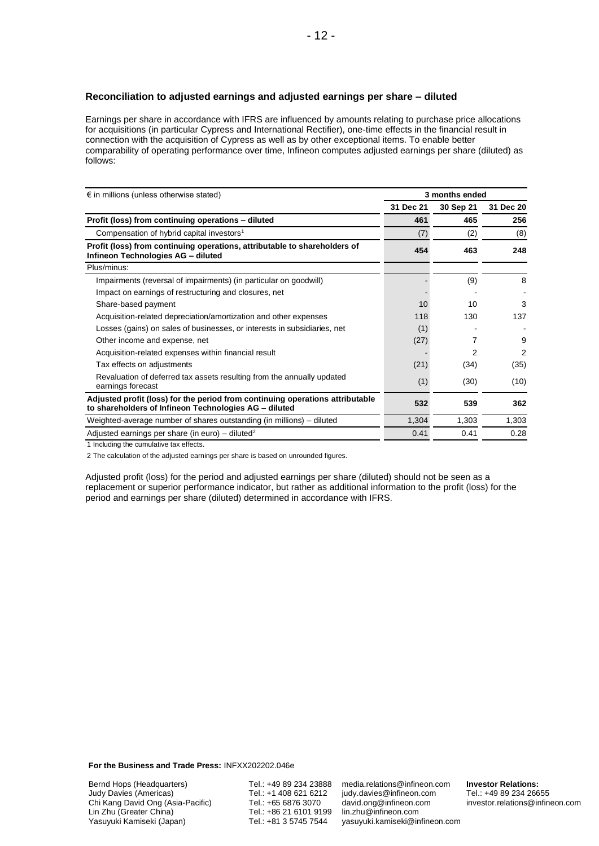#### **Reconciliation to adjusted earnings and adjusted earnings per share – diluted**

Earnings per share in accordance with IFRS are influenced by amounts relating to purchase price allocations for acquisitions (in particular Cypress and International Rectifier), one-time effects in the financial result in connection with the acquisition of Cypress as well as by other exceptional items. To enable better comparability of operating performance over time, Infineon computes adjusted earnings per share (diluted) as follows:

| $\epsilon$ in millions (unless otherwise stated)                                                                                       | 3 months ended |           |           |  |
|----------------------------------------------------------------------------------------------------------------------------------------|----------------|-----------|-----------|--|
|                                                                                                                                        | 31 Dec 21      | 30 Sep 21 | 31 Dec 20 |  |
| Profit (loss) from continuing operations - diluted                                                                                     | 461            | 465       | 256       |  |
| Compensation of hybrid capital investors <sup>1</sup>                                                                                  | (7)            | (2)       | (8)       |  |
| Profit (loss) from continuing operations, attributable to shareholders of<br>Infineon Technologies AG - diluted                        | 454            | 463       | 248       |  |
| Plus/minus:                                                                                                                            |                |           |           |  |
| Impairments (reversal of impairments) (in particular on goodwill)                                                                      |                | (9)       | 8         |  |
| Impact on earnings of restructuring and closures, net                                                                                  |                |           |           |  |
| Share-based payment                                                                                                                    | 10             | 10        | 3         |  |
| Acquisition-related depreciation/amortization and other expenses                                                                       | 118            | 130       | 137       |  |
| Losses (gains) on sales of businesses, or interests in subsidiaries, net                                                               | (1)            |           |           |  |
| Other income and expense, net                                                                                                          | (27)           |           | 9         |  |
| Acquisition-related expenses within financial result                                                                                   |                | 2         | 2         |  |
| Tax effects on adjustments                                                                                                             | (21)           | (34)      | (35)      |  |
| Revaluation of deferred tax assets resulting from the annually updated<br>earnings forecast                                            | (1)            | (30)      | (10)      |  |
| Adjusted profit (loss) for the period from continuing operations attributable<br>to shareholders of Infineon Technologies AG - diluted | 532            | 539       | 362       |  |
| Weighted-average number of shares outstanding (in millions) – diluted                                                                  | 1,304          | 1,303     | 1,303     |  |
| Adjusted earnings per share (in euro) – diluted <sup>2</sup>                                                                           | 0.41           | 0.41      | 0.28      |  |

1 Including the cumulative tax effects.

2 The calculation of the adjusted earnings per share is based on unrounded figures.

Adjusted profit (loss) for the period and adjusted earnings per share (diluted) should not be seen as a replacement or superior performance indicator, but rather as additional information to the profit (loss) for the period and earnings per share (diluted) determined in accordance with IFRS.

**For the Business and Trade Press:** INFXX202202.046e

Bernd Hops (Headquarters) Judy Davies (Americas) Chi Kang David Ong (Asia-Pacific) Lin Zhu (Greater China) Yasuyuki Kamiseki (Japan)

Tel.: +49 89 234 23888 Tel.: +1 408 621 6212 Tel.: +65 6876 3070 Tel.: +86 21 6101 9199 Tel.: +81 3 5745 7544

media.relations@infineon.com judy.davies@infineon.com david.ong@infineon.com lin.zhu@infineon.com yasuyuki.kamiseki@infineon.com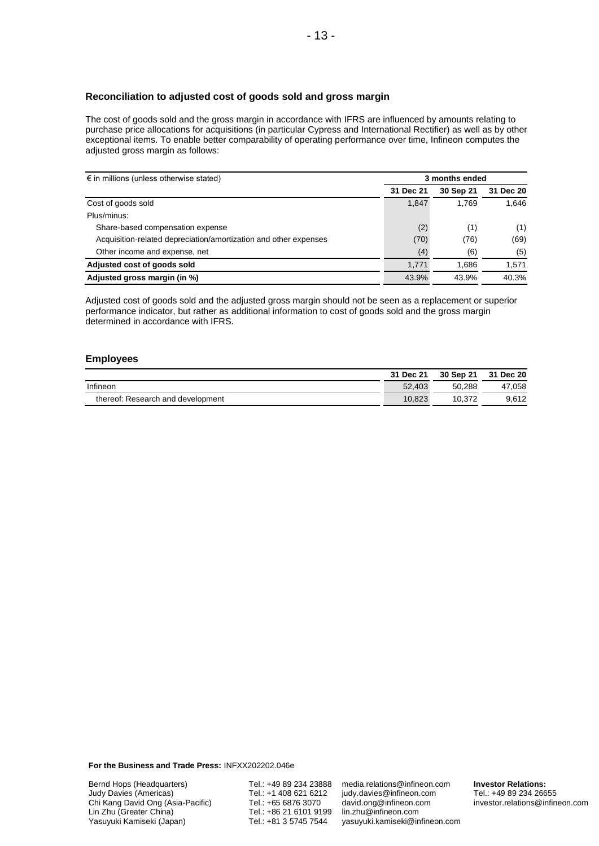#### **Reconciliation to adjusted cost of goods sold and gross margin**

The cost of goods sold and the gross margin in accordance with IFRS are influenced by amounts relating to purchase price allocations for acquisitions (in particular Cypress and International Rectifier) as well as by other exceptional items. To enable better comparability of operating performance over time, Infineon computes the adjusted gross margin as follows:

| $\epsilon$ in millions (unless otherwise stated)                 |           | 3 months ended |           |  |  |
|------------------------------------------------------------------|-----------|----------------|-----------|--|--|
|                                                                  | 31 Dec 21 | 30 Sep 21      | 31 Dec 20 |  |  |
| Cost of goods sold                                               | 1,847     | 1.769          | 1.646     |  |  |
| Plus/minus:                                                      |           |                |           |  |  |
| Share-based compensation expense                                 | (2)       | (1)            | (1)       |  |  |
| Acquisition-related depreciation/amortization and other expenses | (70)      | (76)           | (69)      |  |  |
| Other income and expense, net                                    | (4)       | (6)            | (5)       |  |  |
| Adjusted cost of goods sold                                      | 1.771     | 1.686          | 1,571     |  |  |
| Adjusted gross margin (in %)                                     | 43.9%     | 43.9%          | 40.3%     |  |  |

Adjusted cost of goods sold and the adjusted gross margin should not be seen as a replacement or superior performance indicator, but rather as additional information to cost of goods sold and the gross margin determined in accordance with IFRS.

#### **Employees**

|                                   | 31 Dec 21 | 30 Sep 21 | 31 Dec 20 |
|-----------------------------------|-----------|-----------|-----------|
| Infineon                          | 52.403    | 50.288    | 47.058    |
| thereof: Research and development | 10.823    | 10.372    | 9.612     |

**For the Business and Trade Press:** INFXX202202.046e

Tel.: +49 89 234 23888 Tel.: +1 408 621 6212 Tel.: +65 6876 3070 Tel.: +86 21 6101 9199 Tel.: +81 3 5745 7544

media.relations@infineon.com judy.davies@infineon.com david.ong@infineon.com lin.zhu@infineon.com yasuyuki.kamiseki@infineon.com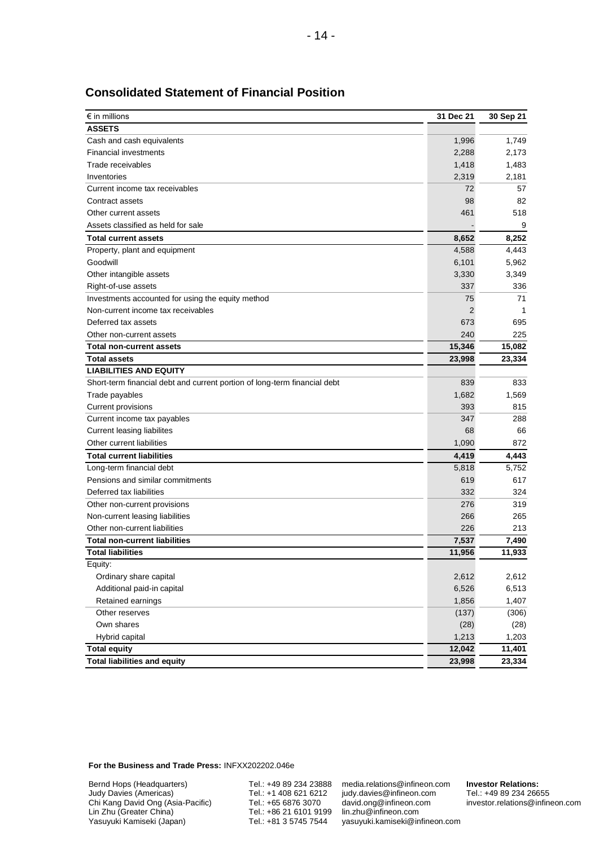| $\epsilon$ in millions                                                    | 31 Dec 21    | 30 Sep 21 |
|---------------------------------------------------------------------------|--------------|-----------|
| <b>ASSETS</b>                                                             |              |           |
| Cash and cash equivalents                                                 | 1,996        | 1,749     |
| <b>Financial investments</b>                                              | 2,288        | 2,173     |
| Trade receivables                                                         | 1,418        | 1,483     |
| Inventories                                                               | 2,319        | 2,181     |
| Current income tax receivables                                            | 72           | 57        |
| Contract assets                                                           | 98           | 82        |
| Other current assets                                                      | 461          | 518       |
| Assets classified as held for sale                                        |              | 9         |
| <b>Total current assets</b>                                               | 8,652        | 8,252     |
| Property, plant and equipment                                             | 4,588        | 4,443     |
| Goodwill                                                                  | 6,101        | 5,962     |
| Other intangible assets                                                   | 3,330        | 3,349     |
| Right-of-use assets                                                       | 337          | 336       |
| Investments accounted for using the equity method                         | 75           | 71        |
| Non-current income tax receivables                                        | $\mathbf{2}$ | 1         |
| Deferred tax assets                                                       | 673          | 695       |
| Other non-current assets                                                  | 240          | 225       |
| <b>Total non-current assets</b>                                           | 15,346       | 15,082    |
| <b>Total assets</b>                                                       | 23,998       | 23,334    |
| <b>LIABILITIES AND EQUITY</b>                                             |              |           |
| Short-term financial debt and current portion of long-term financial debt | 839          | 833       |
| Trade payables                                                            | 1,682        | 1,569     |
| Current provisions                                                        | 393          | 815       |
| Current income tax payables                                               | 347          | 288       |
| Current leasing liabilites                                                | 68           | 66        |
| Other current liabilities                                                 | 1,090        | 872       |
| <b>Total current liabilities</b>                                          | 4,419        | 4,443     |
| Long-term financial debt                                                  | 5,818        | 5,752     |
| Pensions and similar commitments                                          | 619          | 617       |
| Deferred tax liabilities                                                  | 332          | 324       |
| Other non-current provisions                                              | 276          | 319       |
| Non-current leasing liabilities                                           | 266          | 265       |
| Other non-current liabilities                                             | 226          | 213       |
| <b>Total non-current liabilities</b>                                      | 7,537        | 7,490     |
| <b>Total liabilities</b>                                                  | 11,956       | 11,933    |
| Equity:                                                                   |              |           |
| Ordinary share capital                                                    | 2,612        | 2,612     |
| Additional paid-in capital                                                | 6,526        | 6,513     |
| Retained earnings                                                         | 1,856        | 1,407     |
| Other reserves                                                            | (137)        | (306)     |
| Own shares                                                                | (28)         | (28)      |
| Hybrid capital                                                            | 1,213        | 1,203     |
| <b>Total equity</b>                                                       | 12,042       | 11,401    |
| <b>Total liabilities and equity</b>                                       | 23,998       | 23,334    |

### **Consolidated Statement of Financial Position**

**For the Business and Trade Press:** INFXX202202.046e

Bernd Hops (Headquarters) Judy Davies (Americas) Chi Kang David Ong (Asia-Pacific) Lin Zhu (Greater China) Yasuyuki Kamiseki (Japan)

Tel.: +49 89 234 23888 Tel.: +1 408 621 6212 Tel.: +65 6876 3070 Tel.: +86 21 6101 9199 Tel.: +81 3 5745 7544

media.relations@infineon.com judy.davies@infineon.com david.ong@infineon.com lin.zhu@infineon.com yasuyuki.kamiseki@infineon.com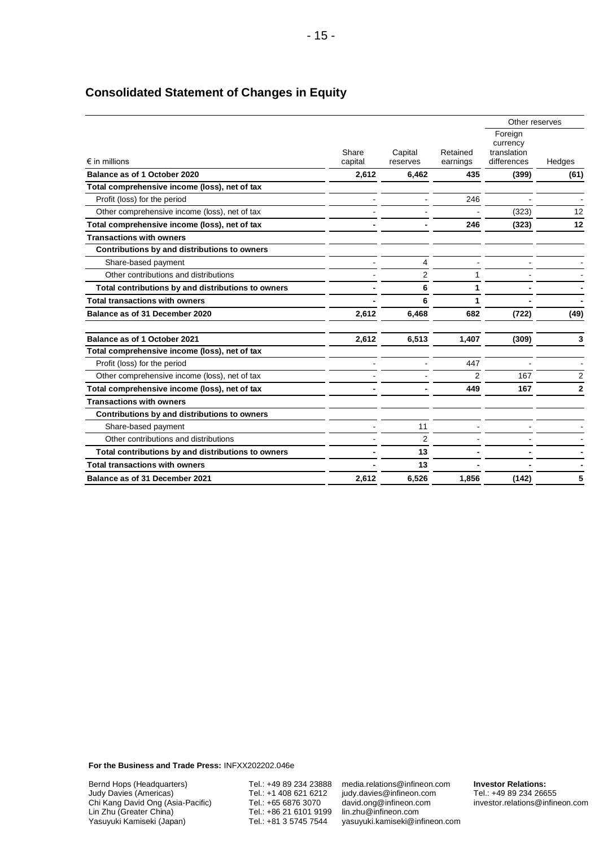|                                                    | Share<br>Capital<br>capital<br>reserves |                | Other reserves       |                                                   |                |
|----------------------------------------------------|-----------------------------------------|----------------|----------------------|---------------------------------------------------|----------------|
| $\epsilon$ in millions                             |                                         |                | Retained<br>earnings | Foreign<br>currency<br>translation<br>differences | Hedges         |
| Balance as of 1 October 2020                       | 2,612                                   | 6,462          | 435                  | (399)                                             | (61)           |
| Total comprehensive income (loss), net of tax      |                                         |                |                      |                                                   |                |
| Profit (loss) for the period                       |                                         |                | 246                  |                                                   |                |
| Other comprehensive income (loss), net of tax      |                                         |                |                      | (323)                                             | 12             |
| Total comprehensive income (loss), net of tax      |                                         |                | 246                  | (323)                                             | 12             |
| <b>Transactions with owners</b>                    |                                         |                |                      |                                                   |                |
| Contributions by and distributions to owners       |                                         |                |                      |                                                   |                |
| Share-based payment                                |                                         | 4              |                      |                                                   |                |
| Other contributions and distributions              |                                         | $\overline{2}$ |                      |                                                   |                |
| Total contributions by and distributions to owners |                                         | 6              | 1                    |                                                   |                |
| <b>Total transactions with owners</b>              |                                         | 6              | 1                    |                                                   |                |
| Balance as of 31 December 2020                     | 2,612                                   | 6,468          | 682                  | (722)                                             | (49)           |
| Balance as of 1 October 2021                       | 2,612                                   | 6,513          | 1,407                | (309)                                             | 3              |
| Total comprehensive income (loss), net of tax      |                                         |                |                      |                                                   |                |
| Profit (loss) for the period                       |                                         |                | 447                  |                                                   |                |
| Other comprehensive income (loss), net of tax      |                                         |                | 2                    | 167                                               | $\overline{2}$ |
| Total comprehensive income (loss), net of tax      |                                         |                | 449                  | 167                                               | $\mathbf{2}$   |
| <b>Transactions with owners</b>                    |                                         |                |                      |                                                   |                |
| Contributions by and distributions to owners       |                                         |                |                      |                                                   |                |
| Share-based payment                                |                                         | 11             |                      |                                                   |                |
| Other contributions and distributions              |                                         | 2              |                      |                                                   |                |
| Total contributions by and distributions to owners |                                         | 13             |                      |                                                   |                |
| <b>Total transactions with owners</b>              |                                         | 13             |                      |                                                   |                |
| Balance as of 31 December 2021                     | 2,612                                   | 6,526          | 1,856                | (142)                                             | 5              |
|                                                    |                                         |                |                      |                                                   |                |

# **Consolidated Statement of Changes in Equity**

**For the Business and Trade Press:** INFXX202202.046e

Bernd Hops (Headquarters) Judy Davies (Americas) Chi Kang David Ong (Asia-Pacific) Lin Zhu (Greater China) Yasuyuki Kamiseki (Japan)

Tel.: +49 89 234 23888 Tel.: +1 408 621 6212 Tel.: +65 6876 3070 Tel.: +86 21 6101 9199 Tel.: +81 3 5745 7544

media.relations@infineon.com judy.davies@infineon.com david.ong@infineon.com lin.zhu@infineon.com yasuyuki.kamiseki@infineon.com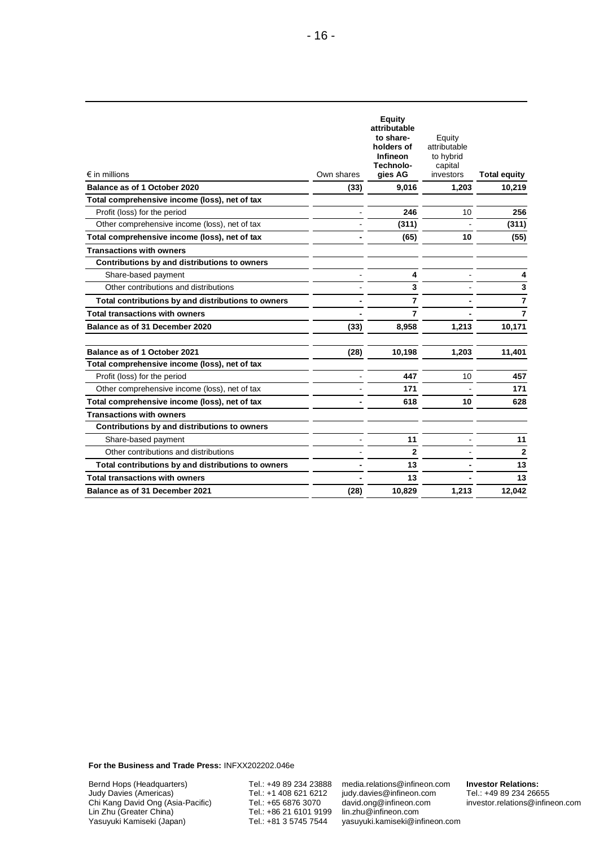| $\epsilon$ in millions                             | Own shares | <b>Equity</b><br>attributable<br>to share-<br>holders of<br><b>Infineon</b><br>Technolo-<br>gies AG | Equity<br>attributable<br>to hybrid<br>capital<br>investors | <b>Total equity</b> |
|----------------------------------------------------|------------|-----------------------------------------------------------------------------------------------------|-------------------------------------------------------------|---------------------|
| Balance as of 1 October 2020                       | (33)       | 9,016                                                                                               | 1,203                                                       | 10,219              |
| Total comprehensive income (loss), net of tax      |            |                                                                                                     |                                                             |                     |
| Profit (loss) for the period                       |            | 246                                                                                                 | 10                                                          | 256                 |
| Other comprehensive income (loss), net of tax      |            | (311)                                                                                               |                                                             | (311)               |
| Total comprehensive income (loss), net of tax      |            | (65)                                                                                                | 10                                                          | (55)                |
| <b>Transactions with owners</b>                    |            |                                                                                                     |                                                             |                     |
| Contributions by and distributions to owners       |            |                                                                                                     |                                                             |                     |
| Share-based payment                                |            | 4                                                                                                   |                                                             | 4                   |
| Other contributions and distributions              |            | 3                                                                                                   |                                                             | 3                   |
| Total contributions by and distributions to owners |            | $\overline{7}$                                                                                      |                                                             | 7                   |
| <b>Total transactions with owners</b>              |            | $\overline{7}$                                                                                      |                                                             | 7                   |
| Balance as of 31 December 2020                     | (33)       | 8,958                                                                                               | 1,213                                                       | 10,171              |
| Balance as of 1 October 2021                       | (28)       | 10,198                                                                                              | 1.203                                                       | 11,401              |
| Total comprehensive income (loss), net of tax      |            |                                                                                                     |                                                             |                     |
| Profit (loss) for the period                       |            | 447                                                                                                 | 10                                                          | 457                 |
| Other comprehensive income (loss), net of tax      |            | 171                                                                                                 |                                                             | 171                 |
| Total comprehensive income (loss), net of tax      |            | 618                                                                                                 | 10                                                          | 628                 |
| <b>Transactions with owners</b>                    |            |                                                                                                     |                                                             |                     |
| Contributions by and distributions to owners       |            |                                                                                                     |                                                             |                     |
| Share-based payment                                |            | 11                                                                                                  |                                                             | 11                  |
| Other contributions and distributions              |            | $\overline{2}$                                                                                      |                                                             | $\overline{2}$      |
| Total contributions by and distributions to owners |            | 13                                                                                                  |                                                             | 13                  |
| <b>Total transactions with owners</b>              |            | 13                                                                                                  |                                                             | 13                  |
| Balance as of 31 December 2021                     | (28)       | 10,829                                                                                              | 1,213                                                       | 12,042              |
|                                                    |            |                                                                                                     |                                                             |                     |

**For the Business and Trade Press:** INFXX202202.046e

Bernd Hops (Headquarters) Judy Davies (Americas) Chi Kang David Ong (Asia-Pacific) Lin Zhu (Greater China) Yasuyuki Kamiseki (Japan)

Tel.: +49 89 234 23888 Tel.: +1 408 621 6212 Tel.: +65 6876 3070 Tel.: +86 21 6101 9199 Tel.: +81 3 5745 7544

media.relations@infineon.com judy.davies@infineon.com david.ong@infineon.com lin.zhu@infineon.com yasuyuki.kamiseki@infineon.com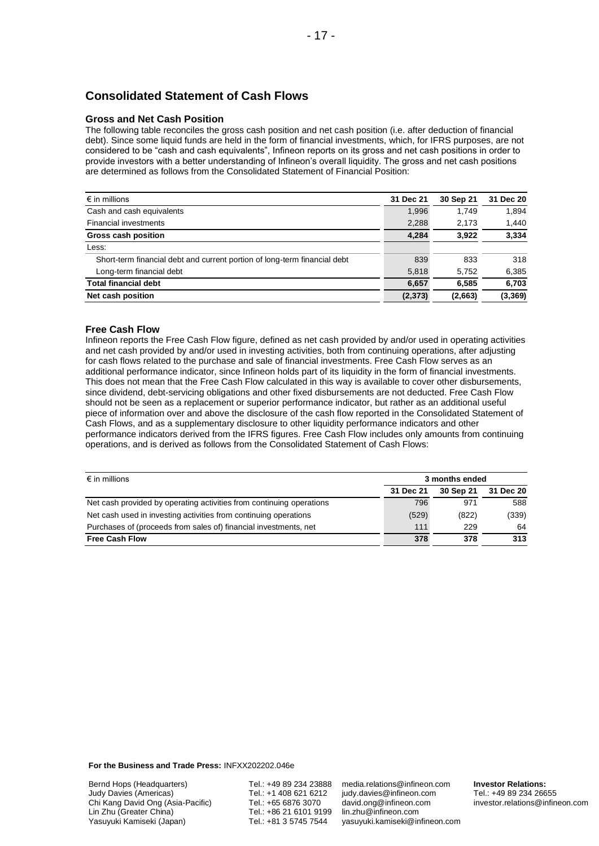# **Consolidated Statement of Cash Flows**

#### **Gross and Net Cash Position**

The following table reconciles the gross cash position and net cash position (i.e. after deduction of financial debt). Since some liquid funds are held in the form of financial investments, which, for IFRS purposes, are not considered to be "cash and cash equivalents", Infineon reports on its gross and net cash positions in order to provide investors with a better understanding of Infineon's overall liquidity. The gross and net cash positions are determined as follows from the Consolidated Statement of Financial Position:

| $\epsilon$ in millions                                                    | 31 Dec 21 | 30 Sep 21 | 31 Dec 20 |
|---------------------------------------------------------------------------|-----------|-----------|-----------|
| Cash and cash equivalents                                                 | 1,996     | 1.749     | 1.894     |
| <b>Financial investments</b>                                              | 2,288     | 2,173     | 1,440     |
| <b>Gross cash position</b>                                                | 4,284     | 3.922     | 3,334     |
| Less:                                                                     |           |           |           |
| Short-term financial debt and current portion of long-term financial debt | 839       | 833       | 318       |
| Long-term financial debt                                                  | 5,818     | 5.752     | 6,385     |
| <b>Total financial debt</b>                                               | 6,657     | 6,585     | 6,703     |
| Net cash position                                                         | (2, 373)  | (2,663)   | (3, 369)  |

#### **Free Cash Flow**

Infineon reports the Free Cash Flow figure, defined as net cash provided by and/or used in operating activities and net cash provided by and/or used in investing activities, both from continuing operations, after adjusting for cash flows related to the purchase and sale of financial investments. Free Cash Flow serves as an additional performance indicator, since Infineon holds part of its liquidity in the form of financial investments. This does not mean that the Free Cash Flow calculated in this way is available to cover other disbursements, since dividend, debt-servicing obligations and other fixed disbursements are not deducted. Free Cash Flow should not be seen as a replacement or superior performance indicator, but rather as an additional useful piece of information over and above the disclosure of the cash flow reported in the Consolidated Statement of Cash Flows, and as a supplementary disclosure to other liquidity performance indicators and other performance indicators derived from the IFRS figures. Free Cash Flow includes only amounts from continuing operations, and is derived as follows from the Consolidated Statement of Cash Flows:

| $\epsilon$ in millions                                               | 3 months ended |           |           |
|----------------------------------------------------------------------|----------------|-----------|-----------|
|                                                                      | 31 Dec 21      | 30 Sep 21 | 31 Dec 20 |
| Net cash provided by operating activities from continuing operations | 796            | 971       | 588       |
| Net cash used in investing activities from continuing operations     | (529)          | (822)     | (339)     |
| Purchases of (proceeds from sales of) financial investments, net     | 111            | 229       | 64        |
| <b>Free Cash Flow</b>                                                | 378            | 378       | 313       |

**For the Business and Trade Press:** INFXX202202.046e

Tel.: +49 89 234 23888 Tel.: +1 408 621 6212 Tel.: +65 6876 3070 Tel.: +86 21 6101 9199 Tel.: +81 3 5745 7544

media.relations@infineon.com judy.davies@infineon.com david.ong@infineon.com lin.zhu@infineon.com yasuyuki.kamiseki@infineon.com